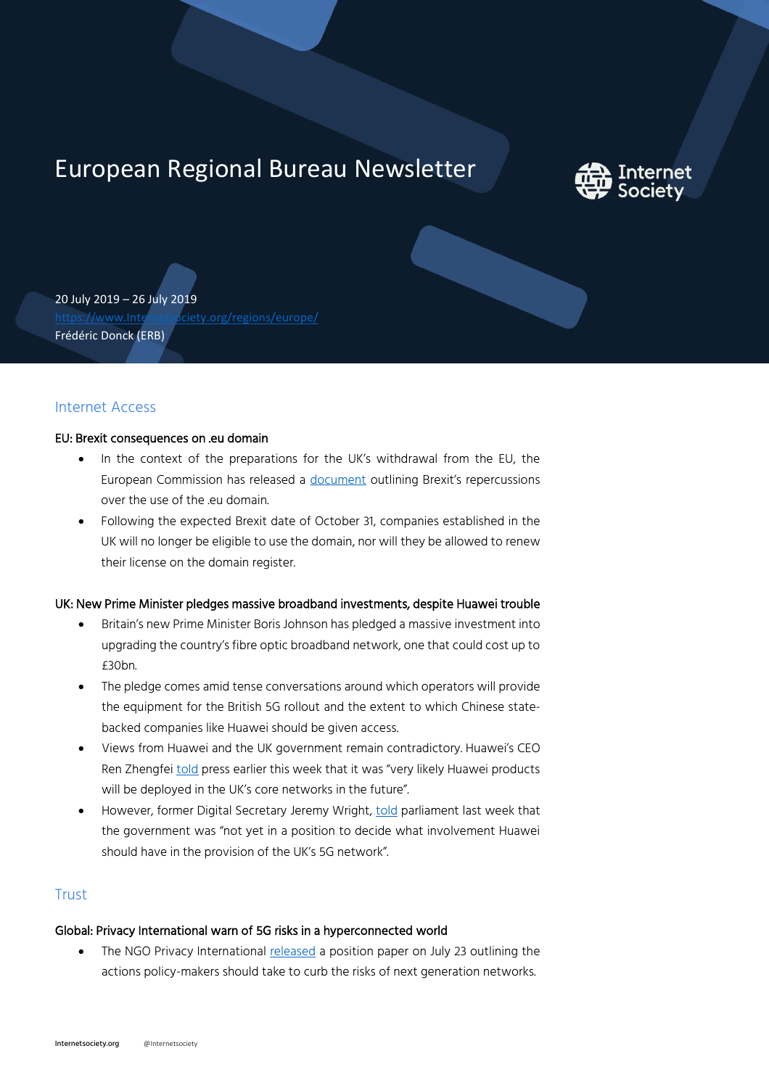# European Regional Bureau Newsletter



20 July 2019 – 26 July 2019 [https://www.Internetsociety.org/regions/europe/](https://www.internetsociety.org/regions/europe/) Frédéric Donck (ERB)

## Internet Access

### EU: Brexit consequences on .eu domain

- In the context of the preparations for the UK's withdrawal from the EU, the European Commission has released a [document](https://ec.europa.eu/info/sites/info/files/eu_domain_names_en.pdf) outlining Brexit's repercussions over the use of the .eu domain.
- Following the expected Brexit date of October 31, companies established in the UK will no longer be eligible to use the domain, nor will they be allowed to renew their license on the domain register.

## UK: New Prime Minister pledges massive broadband investments, despite Huawei trouble

- Britain's new Prime Minister Boris Johnson has pledged a massive investment into upgrading the country's fibre optic broadband network, one that could cost up to £30bn.
- The pledge comes amid tense conversations around which operators will provide the equipment for the British 5G rollout and the extent to which Chinese statebacked companies like Huawei should be given access.
- Views from Huawei and the UK government remain contradictory. Huawei's CEO Ren Zhengfe[i told](https://www.euractiv.com/section/digital/news/digital-brief-johnsons-huawei-conundrum/) press earlier this week that it was "very likely Huawei products will be deployed in the UK's core networks in the future".
- However, former Digital Secretary Jeremy Wright[, told](https://www.euractiv.com/section/digital/news/digital-brief-johnsons-huawei-conundrum/) parliament last week that the government was "not yet in a position to decide what involvement Huawei should have in the provision of the UK's 5G network".

## **Trust**

# Global: Privacy International warn of 5G risks in a hyperconnected world

• The NGO Privacy International [released](https://privacyinternational.org/long-read/3100/welcome-5g-privacy-and-security-hyperconnected-world-or-not) a position paper on July 23 outlining the actions policy-makers should take to curb the risks of next generation networks.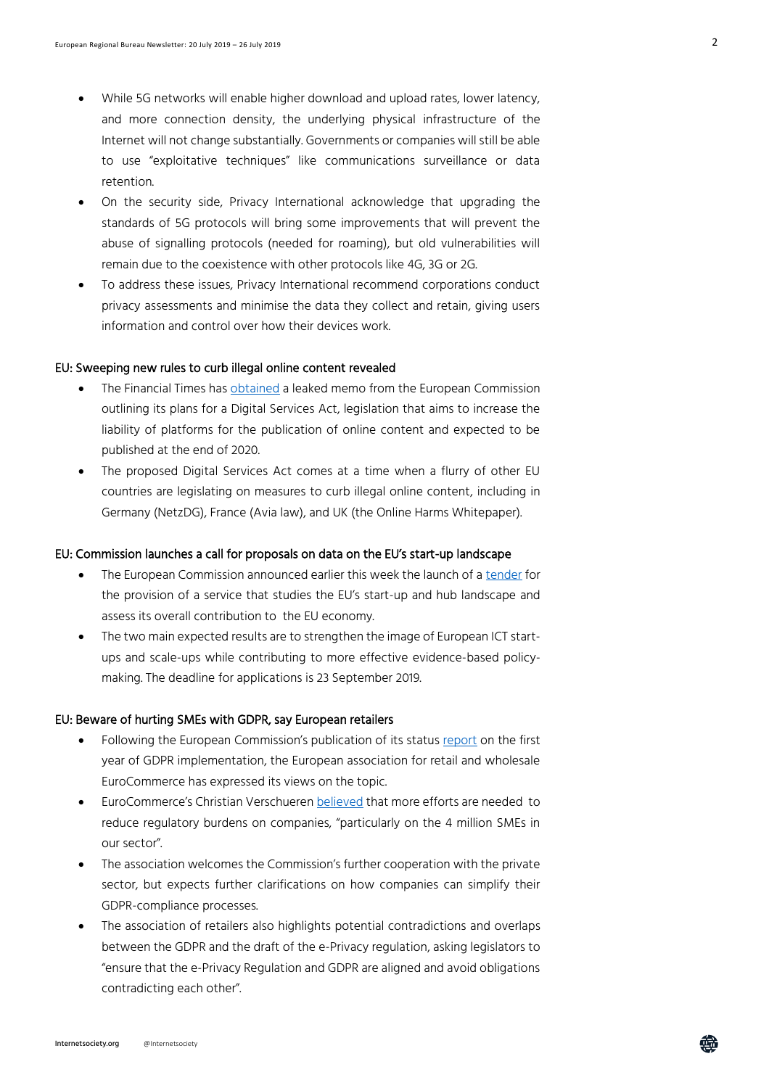- While 5G networks will enable higher download and upload rates, lower latency, and more connection density, the underlying physical infrastructure of the Internet will not change substantially. Governments or companies will still be able to use "exploitative techniques" like communications surveillance or data retention.
- On the security side, Privacy International acknowledge that upgrading the standards of 5G protocols will bring some improvements that will prevent the abuse of signalling protocols (needed for roaming), but old vulnerabilities will remain due to the coexistence with other protocols like 4G, 3G or 2G.
- To address these issues, Privacy International recommend corporations conduct privacy assessments and minimise the data they collect and retain, giving users information and control over how their devices work.

#### EU: Sweeping new rules to curb illegal online content revealed

- The Financial Times has [obtained](https://www.ft.com/content/e9aa1ed4-ad35-11e9-8030-530adfa879c2) a leaked memo from the European Commission outlining its plans for a Digital Services Act, legislation that aims to increase the liability of platforms for the publication of online content and expected to be published at the end of 2020.
- The proposed Digital Services Act comes at a time when a flurry of other EU countries are legislating on measures to curb illegal online content, including in Germany (NetzDG), France (Avia law), and UK (the Online Harms Whitepaper).

#### EU: Commission launches a call for proposals on data on the EU's start-up landscape

- The European Commission announced earlier this week the launch of a [tender](https://ec.europa.eu/digital-single-market/en/news/call-proposals-set-european-startup-and-scaleup-ecosystem-graph) for the provision of a service that studies the EU's start-up and hub landscape and assess its overall contribution to the EU economy.
- The two main expected results are to strengthen the image of European ICT startups and scale-ups while contributing to more effective evidence-based policymaking. The deadline for applications is 23 September 2019.

#### EU: Beware of hurting SMEs with GDPR, say European retailers

- Following the European Commission's publication of its status [report](https://ec.europa.eu/commission/sites/beta-political/files/communication_from_the_commission_to_the_european_parliament_and_the_council.pdf) on the first year of GDPR implementation, the European association for retail and wholesale EuroCommerce has expressed its views on the topic.
- EuroCommerce's Christian Verschueren [believed](https://www.eurocommerce.eu/media/170623/2019.07.24%20-%20GDPR%20one%20year%20onrev.pdf) that more efforts are needed to reduce regulatory burdens on companies, "particularly on the 4 million SMEs in our sector".
- The association welcomes the Commission's further cooperation with the private sector, but expects further clarifications on how companies can simplify their GDPR-compliance processes.
- The association of retailers also highlights potential contradictions and overlaps between the GDPR and the draft of the e-Privacy regulation, asking legislators to "ensure that the e-Privacy Regulation and GDPR are aligned and avoid obligations contradicting each other".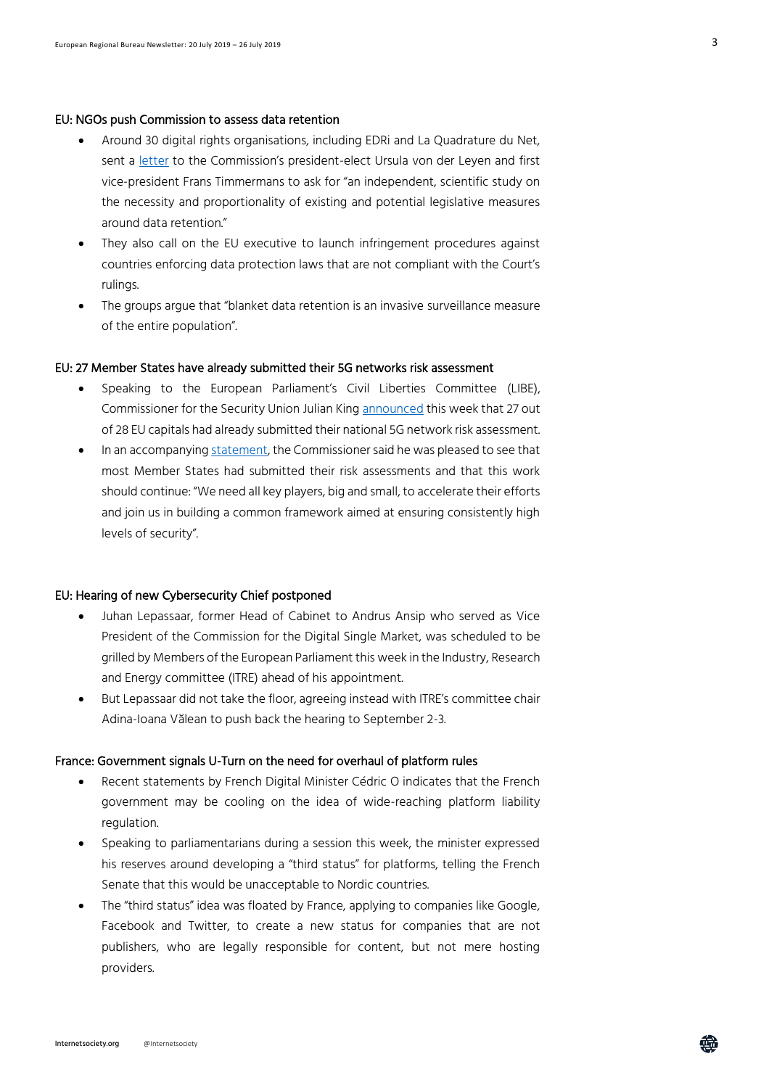#### EU: NGOs push Commission to assess data retention

- Around 30 digital rights organisations, including EDRi and La Quadrature du Net, sent a [letter](https://politico.us8.list-manage.com/track/click?u=e26c1a1c392386a968d02fdbc&id=0db410b905&e=f8f19040b6) to the Commission's president-elect Ursula von der Leyen and first vice-president Frans Timmermans to ask for "an independent, scientific study on the necessity and proportionality of existing and potential legislative measures around data retention."
- They also call on the EU executive to launch infringement procedures against countries enforcing data protection laws that are not compliant with the Court's rulings.
- The groups argue that "blanket data retention is an invasive surveillance measure of the entire population".

#### EU: 27 Member States have already submitted their 5G networks risk assessment

- Speaking to the European Parliament's Civil Liberties Committee (LIBE), Commissioner for the Security Union Julian Kin[g announced](https://twitter.com/cynthiakroet/status/1154040158477402113) this week that 27 out of 28 EU capitals had already submitted their national 5G network risk assessment.
- In an accompanyin[g statement,](http://europa.eu/rapid/press-release_STATEMENT-19-4266_en.htm) the Commissioner said he was pleased to see that most Member States had submitted their risk assessments and that this work should continue: "We need all key players, big and small, to accelerate their efforts and join us in building a common framework aimed at ensuring consistently high levels of security".

#### EU: Hearing of new Cybersecurity Chief postponed

- Juhan Lepassaar, former Head of Cabinet to Andrus Ansip who served as Vice President of the Commission for the Digital Single Market, was scheduled to be grilled by Members of the European Parliament this week in the Industry, Research and Energy committee (ITRE) ahead of his appointment.
- But Lepassaar did not take the floor, agreeing instead with ITRE's committee chair Adina-Ioana Vălean to push back the hearing to September 2-3.

#### France: Government signals U-Turn on the need for overhaul of platform rules

- Recent statements by French Digital Minister Cédric O indicates that the French government may be cooling on the idea of wide-reaching platform liability regulation.
- Speaking to parliamentarians during a session this week, the minister expressed his reserves around developing a "third status" for platforms, telling the French Senate that this would be unacceptable to Nordic countries.
- The "third status" idea was floated by France, applying to companies like Google, Facebook and Twitter, to create a new status for companies that are not publishers, who are legally responsible for content, but not mere hosting providers.